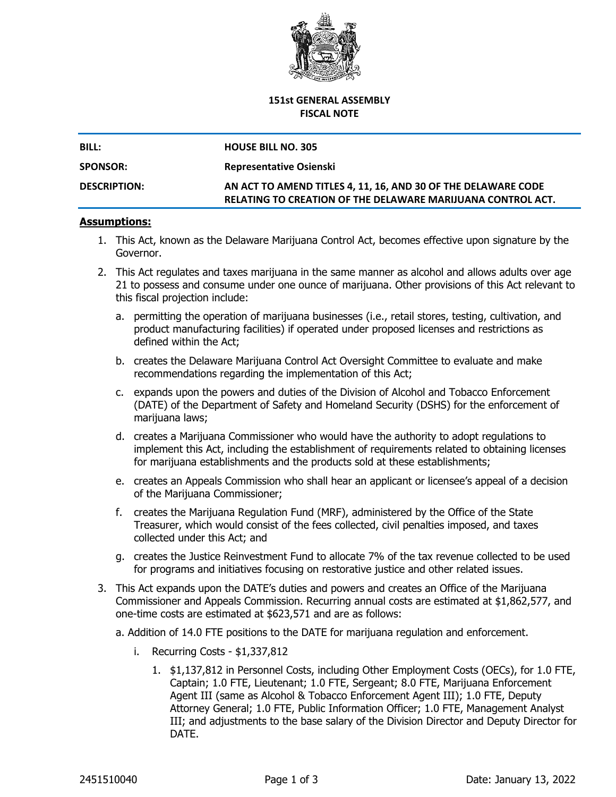

## **151st GENERAL ASSEMBLY FISCAL NOTE**

| BILL:               | <b>HOUSE BILL NO. 305</b>                                                                                                    |
|---------------------|------------------------------------------------------------------------------------------------------------------------------|
| <b>SPONSOR:</b>     | <b>Representative Osienski</b>                                                                                               |
| <b>DESCRIPTION:</b> | AN ACT TO AMEND TITLES 4, 11, 16, AND 30 OF THE DELAWARE CODE<br>RELATING TO CREATION OF THE DELAWARE MARIJUANA CONTROL ACT. |

## **Assumptions:**

- 1. This Act, known as the Delaware Marijuana Control Act, becomes effective upon signature by the Governor.
- 2. This Act regulates and taxes marijuana in the same manner as alcohol and allows adults over age 21 to possess and consume under one ounce of marijuana. Other provisions of this Act relevant to this fiscal projection include:
	- a. permitting the operation of marijuana businesses (i.e., retail stores, testing, cultivation, and product manufacturing facilities) if operated under proposed licenses and restrictions as defined within the Act;
	- b. creates the Delaware Marijuana Control Act Oversight Committee to evaluate and make recommendations regarding the implementation of this Act;
	- c. expands upon the powers and duties of the Division of Alcohol and Tobacco Enforcement (DATE) of the Department of Safety and Homeland Security (DSHS) for the enforcement of marijuana laws;
	- d. creates a Marijuana Commissioner who would have the authority to adopt regulations to implement this Act, including the establishment of requirements related to obtaining licenses for marijuana establishments and the products sold at these establishments;
	- e. creates an Appeals Commission who shall hear an applicant or licensee's appeal of a decision of the Marijuana Commissioner;
	- f. creates the Marijuana Regulation Fund (MRF), administered by the Office of the State Treasurer, which would consist of the fees collected, civil penalties imposed, and taxes collected under this Act; and
	- g. creates the Justice Reinvestment Fund to allocate 7% of the tax revenue collected to be used for programs and initiatives focusing on restorative justice and other related issues.
- 3. This Act expands upon the DATE's duties and powers and creates an Office of the Marijuana Commissioner and Appeals Commission. Recurring annual costs are estimated at \$1,862,577, and one-time costs are estimated at \$623,571 and are as follows:
	- a. Addition of 14.0 FTE positions to the DATE for marijuana regulation and enforcement.
		- i. Recurring Costs \$1,337,812
			- 1. \$1,137,812 in Personnel Costs, including Other Employment Costs (OECs), for 1.0 FTE, Captain; 1.0 FTE, Lieutenant; 1.0 FTE, Sergeant; 8.0 FTE, Marijuana Enforcement Agent III (same as Alcohol & Tobacco Enforcement Agent III); 1.0 FTE, Deputy Attorney General; 1.0 FTE, Public Information Officer; 1.0 FTE, Management Analyst III; and adjustments to the base salary of the Division Director and Deputy Director for DATE.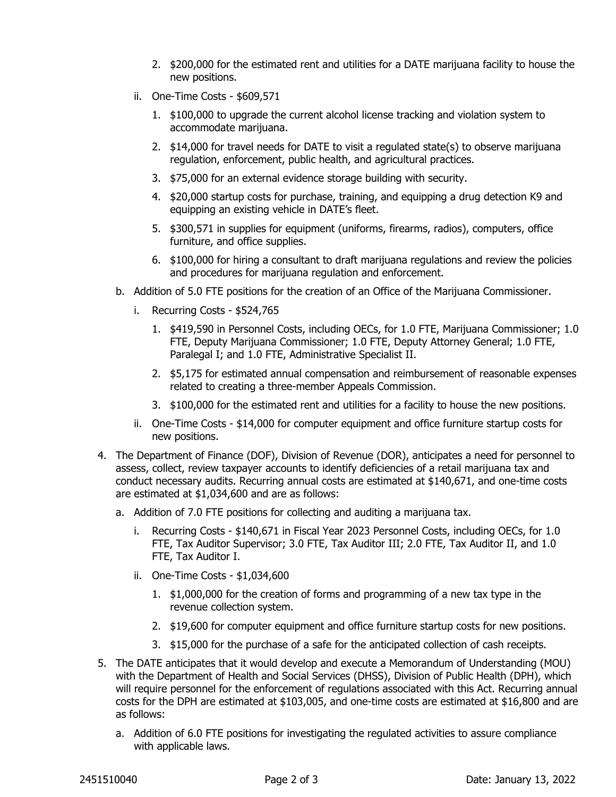- 2. \$200,000 for the estimated rent and utilities for a DATE marijuana facility to house the new positions.
- ii. One-Time Costs \$609,571
	- 1. \$100,000 to upgrade the current alcohol license tracking and violation system to accommodate marijuana.
	- 2. \$14,000 for travel needs for DATE to visit a regulated state(s) to observe marijuana regulation, enforcement, public health, and agricultural practices.
	- 3. \$75,000 for an external evidence storage building with security.
	- 4. \$20,000 startup costs for purchase, training, and equipping a drug detection K9 and equipping an existing vehicle in DATE's fleet.
	- 5. \$300,571 in supplies for equipment (uniforms, firearms, radios), computers, office furniture, and office supplies.
	- 6. \$100,000 for hiring a consultant to draft marijuana regulations and review the policies and procedures for marijuana regulation and enforcement.
- b. Addition of 5.0 FTE positions for the creation of an Office of the Marijuana Commissioner.
	- i. Recurring Costs \$524,765
		- 1. \$419,590 in Personnel Costs, including OECs, for 1.0 FTE, Marijuana Commissioner; 1.0 FTE, Deputy Marijuana Commissioner; 1.0 FTE, Deputy Attorney General; 1.0 FTE, Paralegal I; and 1.0 FTE, Administrative Specialist II.
		- 2. \$5,175 for estimated annual compensation and reimbursement of reasonable expenses related to creating a three-member Appeals Commission.
		- 3. \$100,000 for the estimated rent and utilities for a facility to house the new positions.
	- ii. One-Time Costs \$14,000 for computer equipment and office furniture startup costs for new positions.
- 4. The Department of Finance (DOF), Division of Revenue (DOR), anticipates a need for personnel to assess, collect, review taxpayer accounts to identify deficiencies of a retail marijuana tax and conduct necessary audits. Recurring annual costs are estimated at \$140,671, and one-time costs are estimated at \$1,034,600 and are as follows:
	- a. Addition of 7.0 FTE positions for collecting and auditing a marijuana tax.
		- i. Recurring Costs \$140,671 in Fiscal Year 2023 Personnel Costs, including OECs, for 1.0 FTE, Tax Auditor Supervisor; 3.0 FTE, Tax Auditor III; 2.0 FTE, Tax Auditor II, and 1.0 FTE, Tax Auditor I.
		- ii. One-Time Costs \$1,034,600
			- 1. \$1,000,000 for the creation of forms and programming of a new tax type in the revenue collection system.
			- 2. \$19,600 for computer equipment and office furniture startup costs for new positions.
			- 3. \$15,000 for the purchase of a safe for the anticipated collection of cash receipts.
- 5. The DATE anticipates that it would develop and execute a Memorandum of Understanding (MOU) with the Department of Health and Social Services (DHSS), Division of Public Health (DPH), which will require personnel for the enforcement of regulations associated with this Act. Recurring annual costs for the DPH are estimated at \$103,005, and one-time costs are estimated at \$16,800 and are as follows:
	- a. Addition of 6.0 FTE positions for investigating the regulated activities to assure compliance with applicable laws.